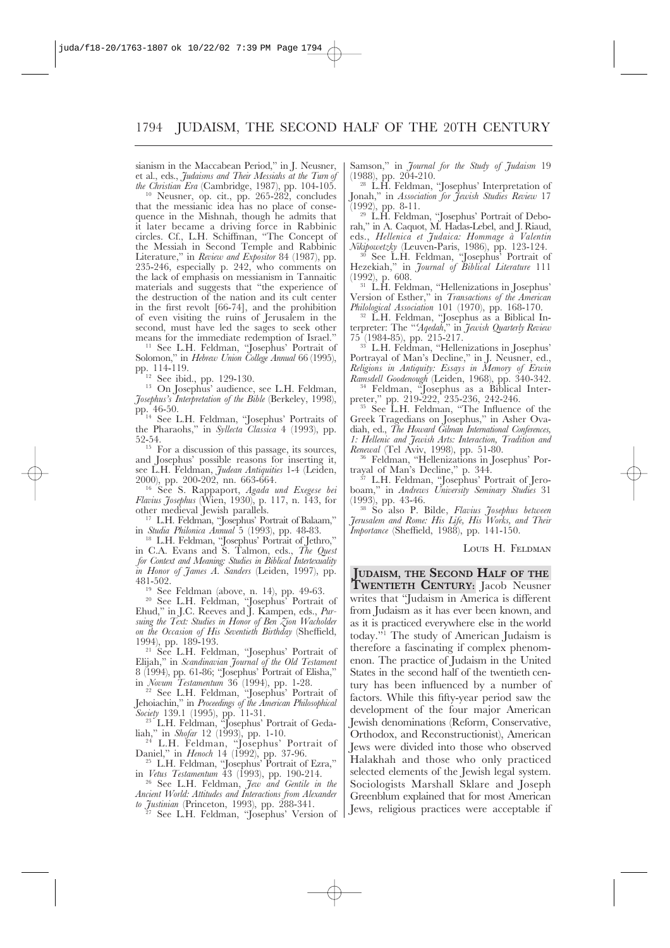sianism in the Maccabean Period," in J. Neusner, et al., eds., *Judaisms and Their Messiahs at the Turn of the Christian Era* (Cambridge, 1987), pp. 104-105. <sup>10</sup> Neusner, op. cit., pp. 265-282, concludes

that the messianic idea has no place of consequence in the Mishnah, though he admits that it later became a driving force in Rabbinic circles. Cf., L.H. Schiffman, "The Concept of the Messiah in Second Temple and Rabbinic Literature," in *Review and Expositor* 84 (1987), pp. 235-246, especially p. 242, who comments on the lack of emphasis on messianism in Tannaitic materials and suggests that "the experience of the destruction of the nation and its cult center in the first revolt [66-74], and the prohibition of even visiting the ruins of Jerusalem in the second, must have led the sages to seek other<br>means for the immediate redemption of Israel."

means for the immediate redemption of Israel." <sup>11</sup> See L.H. Feldman, "Josephus' Portrait of Solomon," in *Hebrew Union College Annual* 66 (1995), pp. 114-119.<br>
<sup>12</sup> See ibid., pp. 129-130.<br>
<sup>13</sup> On Josephus' audience, see L.H. Feldman,

*Josephus's Interpretation of the Bible* (Berkeley, 1998),

pp. 46-50. <sup>14</sup> See L.H. Feldman, "Josephus' Portraits of the Pharaohs," in *Syllecta Classica* 4 (1993), pp.

 $52-54.$ <sup>15</sup> For a discussion of this passage, its sources, and Josephus' possible reasons for inserting it, see L.H. Feldman, *Judean Antiquities* 1-4 (Leiden,

<sup>16</sup> See S. Rappaport, *Agada und Exegese bei Flavius Josephus* (Wien, 1930), p. 117, n. 143, for other medieval Jewish parallels.

<sup>17</sup> L.H. Feldman, "Josephus' Portrait of Balaam,"<br>in Studia Philonica Annual 5 (1993), pp. 48-83. in *Studia Philonica Annual* 5 (1993), pp. 48-83. <sup>18</sup> L.H. Feldman, "Josephus' Portrait of Jethro,"

in C.A. Evans and S. Talmon, eds., *The Quest for Context and Meaning: Studies in Biblical Intertexuality in Honor of James A. Sanders* (Leiden, 1997), pp.

 $481-502.$  19 See Feldman (above, n. 14), pp. 49-63.<br><sup>20</sup> See L.H. Feldman, "Josephus' Portrait of Ehud," in J.C. Reeves and J. Kampen, eds., *Pursuing the Text: Studies in Honor of Ben Zion Wacholder on the Occasion of His Seventieth Birthday* (Sheffield,

See L.H. Feldman, "Josephus' Portrait of Elijah," in *Scandinavian Journal of the Old Testament* 8 (1994), pp. 61-86; "Josephus' Portrait of Elisha," in *Novum Testamentum* 36 (1994), pp. 1-28.<br><sup>22</sup> See L.H. Feldman, "Josephus' Portrait of

Jehoiachin," in *Proceedings of the American Philosophical*

*Society* 139.1 (1995), pp. 11-31. <sup>23</sup> L.H. Feldman, "Josephus' Portrait of Geda-

liah," in *Shofar* 12 (1993), pp. 1-10. <sup>24</sup> L.H. Feldman, "Josephus' Portrait of Daniel," in *Henoch* 14 (1992), pp. 37-96.<br><sup>25</sup> L.H. Feldman, "Josephus' Portrait of Ezra,"

in *Vetus Testamentum* 43 (1993), pp. 190-214. <sup>26</sup> See L.H. Feldman, *Jew and Gentile in the* <sup>26</sup> See L.H. Feldman, *Jew and Gentile in the Ancient World: Attitudes and Interactions from Alexander to Justinian* (Princeton, 1993), pp. 288-341.<br><sup>27</sup> See L.H. Feldman, "Josephus' Version of

Samson," in *Journal for the Study of Judaism* 19

 $^{28}$  L.H. Feldman, "Josephus' Interpretation of Jonah," in *Association for Jewish Studies Review* 17

<sup>29</sup> L.H. Feldman, "Josephus' Portrait of Deborah," in A. Caquot, M. Hadas-Lebel, and J. Riaud, eds., *Hellenica et Judaica: Hommage à Valentin*

*Nikipowetzky* (Leuven-Paris, 1986), pp. 123-124. <sup>30</sup> See L.H. Feldman, "Josephus' Portrait of Hezekiah," in *Journal of Biblical Literature* 111 (1992), p. 608. <sup>31</sup> L.H. Feldman, "Hellenizations in Josephus'

Version of Esther," in *Transactions of the American Philological Association* 101 (1970), pp. 168-170. <sup>32</sup> L.H. Feldman, "Josephus as a Biblical In-

terpreter: The "*'Aqedah*," in *Jewish Quarterly Review*  $75$  (1984-85), pp. 215-217.<br> $^{33}$  L.H. Feldman, "Hellenizations in Josephus'

Portrayal of Man's Decline," in J. Neusner, ed., *Religions in Antiquity: Essays in Memory of Erwin*

<sup>34</sup> Feldman, "Josephus as a Biblical Interpreter," pp. 219-222, 235-236, 242-246.<br><sup>35</sup> See L.H. Feldman, "The Influence of the

Greek Tragedians on Josephus," in Asher Ovadiah, ed., *The Howard Gilman International Conferences, 1: Hellenic and Jewish Arts: Interaction, Tradition and*

*Renewal (Tel Aviv, 1998), pp. 51-80.*<br>*Renewal (Tel Aviv, 1998), pp. 51-80.* <sup>36</sup> Feldman, "Hellenizations in Josephus' Por-<br>trayal of Man's Decline," p. 344.

trayal of Man's Decline," p. 344.<br><sup>37</sup> L.H. Feldman, "Josephus' Portrait of Jeroboam," in *Andrews University Seminary Studies* 31

(1993), pp. 43-46. <sup>38</sup> So also P. Bilde, *Flavius Josephus between Jerusalem and Rome: His Life, His Works, and Their Importance* (Sheffield, 1988), pp. 141-150.

LOUIS H. FELDMAN

**JUDAISM, THE SECOND HALF OF THE TWENTIETH CENTURY:** Jacob Neusner writes that "Judaism in America is different from Judaism as it has ever been known, and as it is practiced everywhere else in the world today."1 The study of American Judaism is therefore a fascinating if complex phenomenon. The practice of Judaism in the United States in the second half of the twentieth century has been influenced by a number of factors. While this fifty-year period saw the development of the four major American Jewish denominations (Reform, Conservative, Orthodox, and Reconstructionist), American Jews were divided into those who observed Halakhah and those who only practiced selected elements of the Jewish legal system. Sociologists Marshall Sklare and Joseph Greenblum explained that for most American Jews, religious practices were acceptable if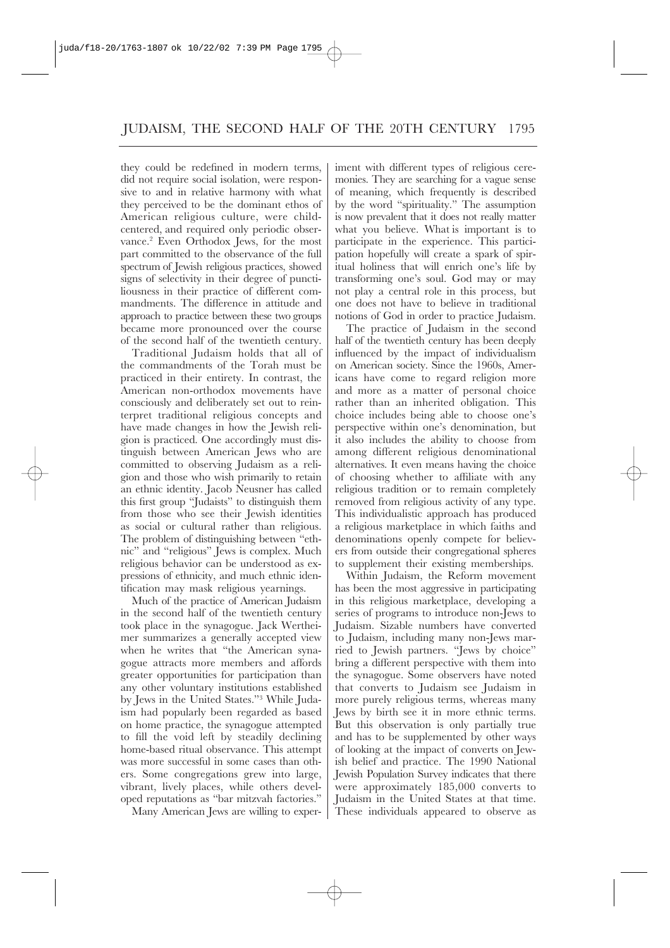they could be redefined in modern terms, did not require social isolation, were responsive to and in relative harmony with what they perceived to be the dominant ethos of American religious culture, were childcentered, and required only periodic observance.2 Even Orthodox Jews, for the most part committed to the observance of the full spectrum of Jewish religious practices, showed signs of selectivity in their degree of punctiliousness in their practice of different commandments. The difference in attitude and approach to practice between these two groups became more pronounced over the course of the second half of the twentieth century.

Traditional Judaism holds that all of the commandments of the Torah must be practiced in their entirety. In contrast, the American non-orthodox movements have consciously and deliberately set out to reinterpret traditional religious concepts and have made changes in how the Jewish religion is practiced. One accordingly must distinguish between American Jews who are committed to observing Judaism as a religion and those who wish primarily to retain an ethnic identity. Jacob Neusner has called this first group "Judaists" to distinguish them from those who see their Jewish identities as social or cultural rather than religious. The problem of distinguishing between "ethnic" and "religious" Jews is complex. Much religious behavior can be understood as expressions of ethnicity, and much ethnic identification may mask religious yearnings.

Much of the practice of American Judaism in the second half of the twentieth century took place in the synagogue. Jack Wertheimer summarizes a generally accepted view when he writes that "the American synagogue attracts more members and affords greater opportunities for participation than any other voluntary institutions established by Jews in the United States."3 While Judaism had popularly been regarded as based on home practice, the synagogue attempted to fill the void left by steadily declining home-based ritual observance. This attempt was more successful in some cases than others. Some congregations grew into large, vibrant, lively places, while others developed reputations as "bar mitzvah factories."

Many American Jews are willing to exper-

iment with different types of religious ceremonies. They are searching for a vague sense of meaning, which frequently is described by the word "spirituality." The assumption is now prevalent that it does not really matter what you believe. What is important is to participate in the experience. This participation hopefully will create a spark of spiritual holiness that will enrich one's life by transforming one's soul. God may or may not play a central role in this process, but one does not have to believe in traditional notions of God in order to practice Judaism.

The practice of Judaism in the second half of the twentieth century has been deeply influenced by the impact of individualism on American society. Since the 1960s, Americans have come to regard religion more and more as a matter of personal choice rather than an inherited obligation. This choice includes being able to choose one's perspective within one's denomination, but it also includes the ability to choose from among different religious denominational alternatives. It even means having the choice of choosing whether to affiliate with any religious tradition or to remain completely removed from religious activity of any type. This individualistic approach has produced a religious marketplace in which faiths and denominations openly compete for believers from outside their congregational spheres to supplement their existing memberships.

Within Judaism, the Reform movement has been the most aggressive in participating in this religious marketplace, developing a series of programs to introduce non-Jews to Judaism. Sizable numbers have converted to Judaism, including many non-Jews married to Jewish partners. "Jews by choice" bring a different perspective with them into the synagogue. Some observers have noted that converts to Judaism see Judaism in more purely religious terms, whereas many Jews by birth see it in more ethnic terms. But this observation is only partially true and has to be supplemented by other ways of looking at the impact of converts on Jewish belief and practice. The 1990 National Jewish Population Survey indicates that there were approximately 185,000 converts to Judaism in the United States at that time. These individuals appeared to observe as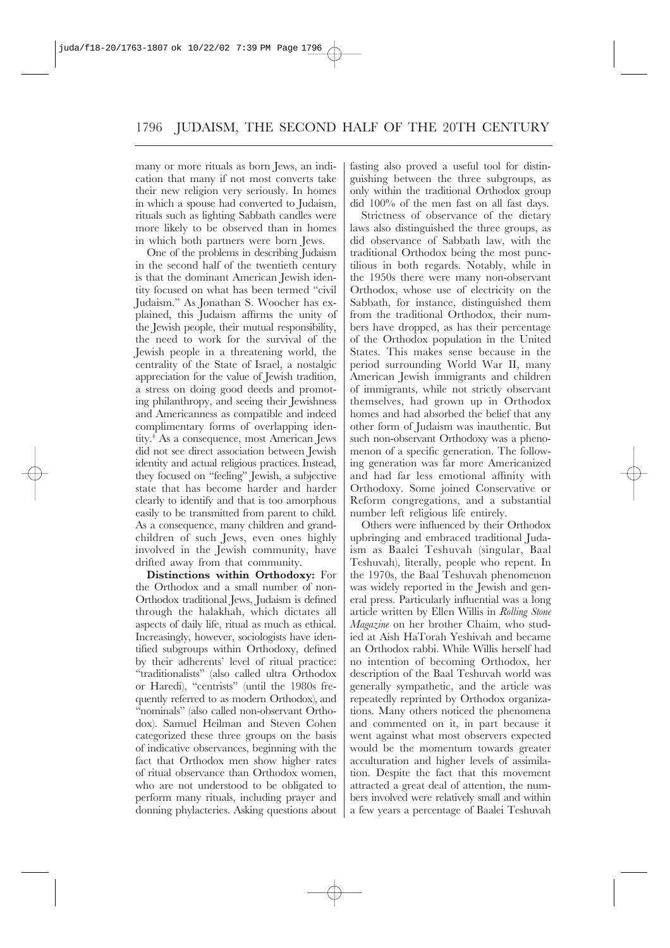many or more rituals as born Jews, an indication that many if not most converts take their new religion very seriously. In homes in which a spouse had converted to Judaism, rituals such as lighting Sabbath candles were more likely to be observed than in homes in which both partners were born Jews.

One of the problems in describing Judaism in the second half of the twentieth century is that the dominant American Jewish identity focused on what has been termed "civil Judaism." As Jonathan S. Woocher has explained, this Judaism affirms the unity of the Jewish people, their mutual responsibility, the need to work for the survival of the Jewish people in a threatening world, the centrality of the State of Israel, a nostalgic appreciation for the value of Jewish tradition, a stress on doing good deeds and promoting philanthropy, and seeing their Jewishness and Americanness as compatible and indeed complimentary forms of overlapping identity.4 As a consequence, most American Jews did not see direct association between Jewish identity and actual religious practices. Instead, they focused on "feeling" Jewish, a subjective state that has become harder and harder clearly to identify and that is too amorphous easily to be transmitted from parent to child. As a consequence, many children and grandchildren of such Jews, even ones highly involved in the Jewish community, have drifted away from that community.

**Distinctions within Orthodoxy:** For the Orthodox and a small number of non-Orthodox traditional Jews, Judaism is defined through the halakhah, which dictates all aspects of daily life, ritual as much as ethical. Increasingly, however, sociologists have identified subgroups within Orthodoxy, defined by their adherents' level of ritual practice: "traditionalists" (also called ultra Orthodox or Haredi), "centrists" (until the 1980s frequently referred to as modern Orthodox), and "nominals" (also called non-observant Orthodox). Samuel Heilman and Steven Cohen categorized these three groups on the basis of indicative observances, beginning with the fact that Orthodox men show higher rates of ritual observance than Orthodox women, who are not understood to be obligated to perform many rituals, including prayer and donning phylacteries. Asking questions about

fasting also proved a useful tool for distinguishing between the three subgroups, as only within the traditional Orthodox group did 100% of the men fast on all fast days.

Strictness of observance of the dietary laws also distinguished the three groups, as did observance of Sabbath law, with the traditional Orthodox being the most punctilious in both regards. Notably, while in the 1950s there were many non-observant Orthodox, whose use of electricity on the Sabbath, for instance, distinguished them from the traditional Orthodox, their numbers have dropped, as has their percentage of the Orthodox population in the United States. This makes sense because in the period surrounding World War II, many American Jewish immigrants and children of immigrants, while not strictly observant themselves, had grown up in Orthodox homes and had absorbed the belief that any other form of Judaism was inauthentic. But such non-observant Orthodoxy was a phenomenon of a specific generation. The following generation was far more Americanized and had far less emotional affinity with Orthodoxy. Some joined Conservative or Reform congregations, and a substantial number left religious life entirely.

Others were influenced by their Orthodox upbringing and embraced traditional Judaism as Baalei Teshuvah (singular, Baal Teshuvah), literally, people who repent. In the 1970s, the Baal Teshuvah phenomenon was widely reported in the Jewish and general press. Particularly influential was a long article written by Ellen Willis in *Rolling Stone Magazine* on her brother Chaim, who studied at Aish HaTorah Yeshivah and became an Orthodox rabbi. While Willis herself had no intention of becoming Orthodox, her description of the Baal Teshuvah world was generally sympathetic, and the article was repeatedly reprinted by Orthodox organizations. Many others noticed the phenomena and commented on it, in part because it went against what most observers expected would be the momentum towards greater acculturation and higher levels of assimilation. Despite the fact that this movement attracted a great deal of attention, the numbers involved were relatively small and within a few years a percentage of Baalei Teshuvah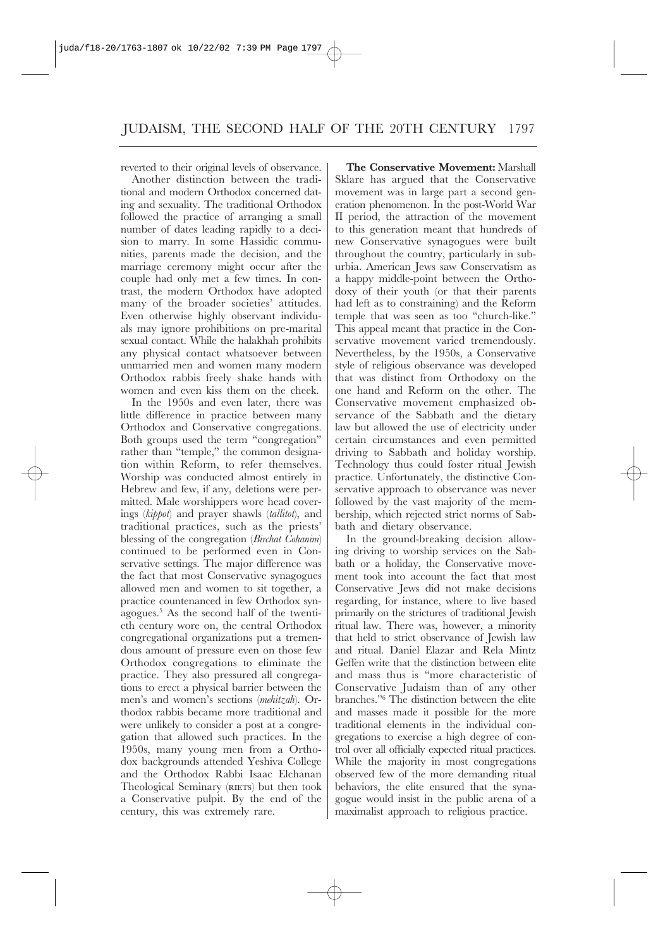reverted to their original levels of observance.

juda/f18-20/1763-1807 ok 10/22/02 7:39 PM Page 1797

Another distinction between the traditional and modern Orthodox concerned dating and sexuality. The traditional Orthodox followed the practice of arranging a small number of dates leading rapidly to a decision to marry. In some Hassidic communities, parents made the decision, and the marriage ceremony might occur after the couple had only met a few times. In contrast, the modern Orthodox have adopted many of the broader societies' attitudes. Even otherwise highly observant individuals may ignore prohibitions on pre-marital sexual contact. While the halakhah prohibits any physical contact whatsoever between unmarried men and women many modern Orthodox rabbis freely shake hands with women and even kiss them on the cheek.

In the 1950s and even later, there was little difference in practice between many Orthodox and Conservative congregations. Both groups used the term "congregation" rather than "temple," the common designation within Reform, to refer themselves. Worship was conducted almost entirely in Hebrew and few, if any, deletions were permitted. Male worshippers wore head coverings (*kippot*) and prayer shawls (*tallitot*), and traditional practices, such as the priests' blessing of the congregation (*Birchat Cohanim*) continued to be performed even in Conservative settings. The major difference was the fact that most Conservative synagogues allowed men and women to sit together, a practice countenanced in few Orthodox synagogues.5 As the second half of the twentieth century wore on, the central Orthodox congregational organizations put a tremendous amount of pressure even on those few Orthodox congregations to eliminate the practice. They also pressured all congregations to erect a physical barrier between the men's and women's sections (*mehitzah*). Orthodox rabbis became more traditional and were unlikely to consider a post at a congregation that allowed such practices. In the 1950s, many young men from a Orthodox backgrounds attended Yeshiva College and the Orthodox Rabbi Isaac Elchanan Theological Seminary (RIETS) but then took a Conservative pulpit. By the end of the century, this was extremely rare.

**The Conservative Movement:** Marshall Sklare has argued that the Conservative movement was in large part a second generation phenomenon. In the post-World War II period, the attraction of the movement to this generation meant that hundreds of new Conservative synagogues were built throughout the country, particularly in suburbia. American Jews saw Conservatism as a happy middle-point between the Orthodoxy of their youth (or that their parents had left as to constraining) and the Reform temple that was seen as too "church-like." This appeal meant that practice in the Conservative movement varied tremendously. Nevertheless, by the 1950s, a Conservative style of religious observance was developed that was distinct from Orthodoxy on the one hand and Reform on the other. The Conservative movement emphasized observance of the Sabbath and the dietary law but allowed the use of electricity under certain circumstances and even permitted driving to Sabbath and holiday worship. Technology thus could foster ritual Jewish practice. Unfortunately, the distinctive Conservative approach to observance was never followed by the vast majority of the membership, which rejected strict norms of Sabbath and dietary observance.

In the ground-breaking decision allowing driving to worship services on the Sabbath or a holiday, the Conservative movement took into account the fact that most Conservative Jews did not make decisions regarding, for instance, where to live based primarily on the strictures of traditional Jewish ritual law. There was, however, a minority that held to strict observance of Jewish law and ritual. Daniel Elazar and Rela Mintz Geffen write that the distinction between elite and mass thus is "more characteristic of Conservative Judaism than of any other branches."6 The distinction between the elite and masses made it possible for the more traditional elements in the individual congregations to exercise a high degree of control over all officially expected ritual practices. While the majority in most congregations observed few of the more demanding ritual behaviors, the elite ensured that the synagogue would insist in the public arena of a maximalist approach to religious practice.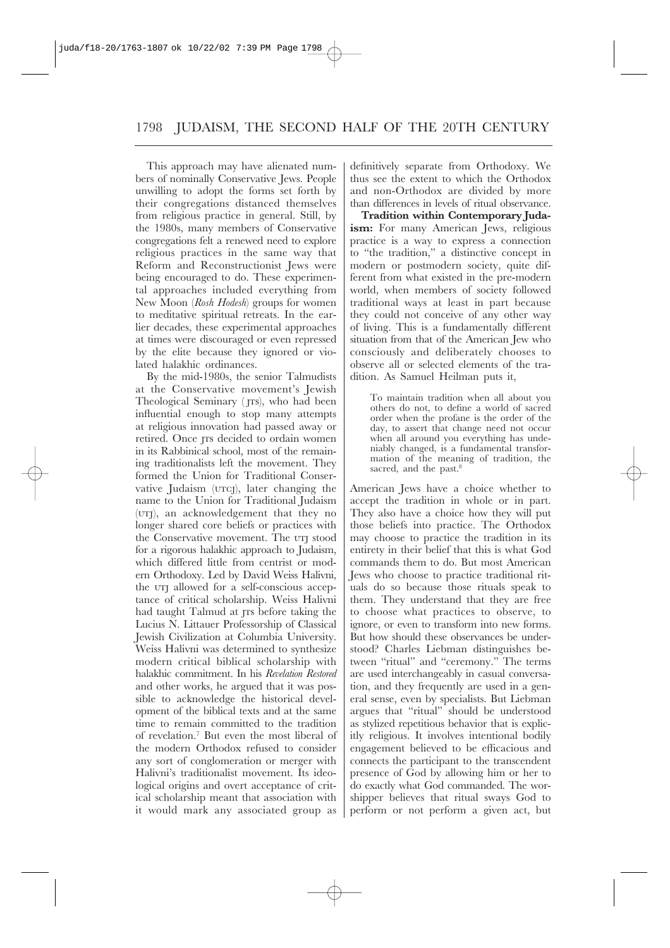This approach may have alienated numbers of nominally Conservative Jews. People unwilling to adopt the forms set forth by their congregations distanced themselves from religious practice in general. Still, by the 1980s, many members of Conservative congregations felt a renewed need to explore religious practices in the same way that Reform and Reconstructionist Jews were being encouraged to do. These experimental approaches included everything from New Moon (*Rosh Hodesh*) groups for women to meditative spiritual retreats. In the earlier decades, these experimental approaches at times were discouraged or even repressed by the elite because they ignored or violated halakhic ordinances.

By the mid-1980s, the senior Talmudists at the Conservative movement's Jewish Theological Seminary (T<sub>ITS</sub>), who had been influential enough to stop many attempts at religious innovation had passed away or retired. Once ITS decided to ordain women in its Rabbinical school, most of the remaining traditionalists left the movement. They formed the Union for Traditional Conservative Judaism (UTCI), later changing the name to the Union for Traditional Judaism (UTI), an acknowledgement that they no longer shared core beliefs or practices with the Conservative movement. The UTI stood for a rigorous halakhic approach to Judaism, which differed little from centrist or modern Orthodoxy. Led by David Weiss Halivni, the UTI allowed for a self-conscious acceptance of critical scholarship. Weiss Halivni had taught Talmud at  $\text{TS}$  before taking the Lucius N. Littauer Professorship of Classical Jewish Civilization at Columbia University. Weiss Halivni was determined to synthesize modern critical biblical scholarship with halakhic commitment. In his *Revelation Restored* and other works, he argued that it was possible to acknowledge the historical development of the biblical texts and at the same time to remain committed to the tradition of revelation.7 But even the most liberal of the modern Orthodox refused to consider any sort of conglomeration or merger with Halivni's traditionalist movement. Its ideological origins and overt acceptance of critical scholarship meant that association with it would mark any associated group as

definitively separate from Orthodoxy. We thus see the extent to which the Orthodox and non-Orthodox are divided by more than differences in levels of ritual observance.

**Tradition within Contemporary Juda**ism: For many American Jews, religious practice is a way to express a connection to "the tradition," a distinctive concept in modern or postmodern society, quite different from what existed in the pre-modern world, when members of society followed traditional ways at least in part because they could not conceive of any other way of living. This is a fundamentally different situation from that of the American Jew who consciously and deliberately chooses to observe all or selected elements of the tradition. As Samuel Heilman puts it,

To maintain tradition when all about you others do not, to define a world of sacred order when the profane is the order of the day, to assert that change need not occur when all around you everything has undeniably changed, is a fundamental transformation of the meaning of tradition, the sacred, and the past.<sup>8</sup>

American Jews have a choice whether to accept the tradition in whole or in part. They also have a choice how they will put those beliefs into practice. The Orthodox may choose to practice the tradition in its entirety in their belief that this is what God commands them to do. But most American Jews who choose to practice traditional rituals do so because those rituals speak to them. They understand that they are free to choose what practices to observe, to ignore, or even to transform into new forms. But how should these observances be understood? Charles Liebman distinguishes between "ritual" and "ceremony." The terms are used interchangeably in casual conversation, and they frequently are used in a general sense, even by specialists. But Liebman argues that "ritual" should be understood as stylized repetitious behavior that is explicitly religious. It involves intentional bodily engagement believed to be efficacious and connects the participant to the transcendent presence of God by allowing him or her to do exactly what God commanded. The worshipper believes that ritual sways God to perform or not perform a given act, but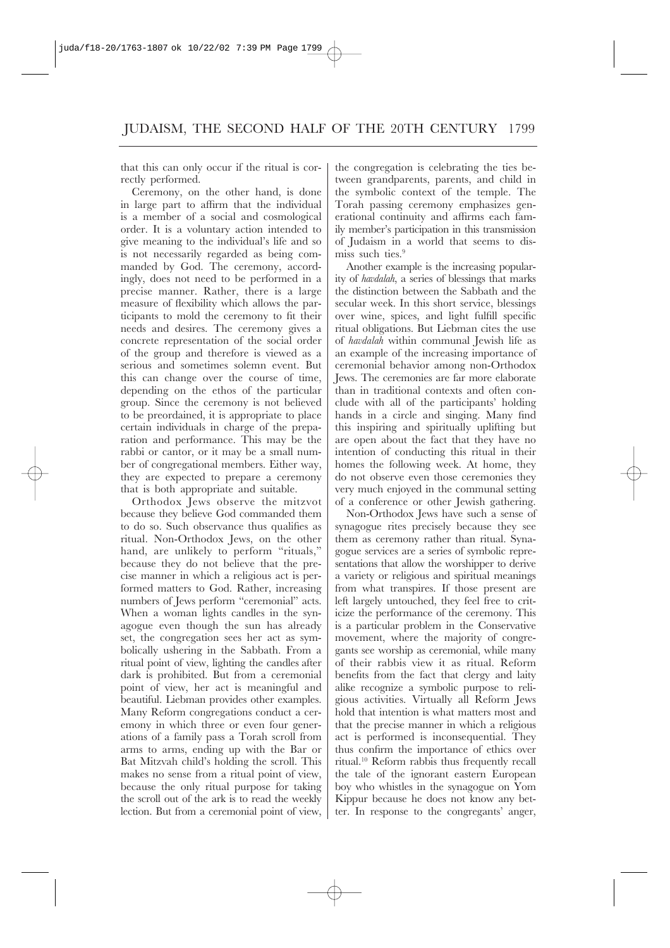that this can only occur if the ritual is correctly performed.

Ceremony, on the other hand, is done in large part to affirm that the individual is a member of a social and cosmological order. It is a voluntary action intended to give meaning to the individual's life and so is not necessarily regarded as being commanded by God. The ceremony, accordingly, does not need to be performed in a precise manner. Rather, there is a large measure of flexibility which allows the participants to mold the ceremony to fit their needs and desires. The ceremony gives a concrete representation of the social order of the group and therefore is viewed as a serious and sometimes solemn event. But this can change over the course of time, depending on the ethos of the particular group. Since the ceremony is not believed to be preordained, it is appropriate to place certain individuals in charge of the preparation and performance. This may be the rabbi or cantor, or it may be a small number of congregational members. Either way, they are expected to prepare a ceremony that is both appropriate and suitable.

Orthodox Jews observe the mitzvot because they believe God commanded them to do so. Such observance thus qualifies as ritual. Non-Orthodox Jews, on the other hand, are unlikely to perform "rituals," because they do not believe that the precise manner in which a religious act is performed matters to God. Rather, increasing numbers of Jews perform "ceremonial" acts. When a woman lights candles in the synagogue even though the sun has already set, the congregation sees her act as symbolically ushering in the Sabbath. From a ritual point of view, lighting the candles after dark is prohibited. But from a ceremonial point of view, her act is meaningful and beautiful. Liebman provides other examples. Many Reform congregations conduct a ceremony in which three or even four generations of a family pass a Torah scroll from arms to arms, ending up with the Bar or Bat Mitzvah child's holding the scroll. This makes no sense from a ritual point of view, because the only ritual purpose for taking the scroll out of the ark is to read the weekly lection. But from a ceremonial point of view, the congregation is celebrating the ties between grandparents, parents, and child in the symbolic context of the temple. The Torah passing ceremony emphasizes generational continuity and affirms each family member's participation in this transmission of Judaism in a world that seems to dismiss such ties.<sup>9</sup>

Another example is the increasing popularity of *havdalah*, a series of blessings that marks the distinction between the Sabbath and the secular week. In this short service, blessings over wine, spices, and light fulfill specific ritual obligations. But Liebman cites the use of *havdalah* within communal Jewish life as an example of the increasing importance of ceremonial behavior among non-Orthodox Jews. The ceremonies are far more elaborate than in traditional contexts and often conclude with all of the participants' holding hands in a circle and singing. Many find this inspiring and spiritually uplifting but are open about the fact that they have no intention of conducting this ritual in their homes the following week. At home, they do not observe even those ceremonies they very much enjoyed in the communal setting of a conference or other Jewish gathering.

Non-Orthodox Jews have such a sense of synagogue rites precisely because they see them as ceremony rather than ritual. Synagogue services are a series of symbolic representations that allow the worshipper to derive a variety or religious and spiritual meanings from what transpires. If those present are left largely untouched, they feel free to criticize the performance of the ceremony. This is a particular problem in the Conservative movement, where the majority of congregants see worship as ceremonial, while many of their rabbis view it as ritual. Reform benefits from the fact that clergy and laity alike recognize a symbolic purpose to religious activities. Virtually all Reform Jews hold that intention is what matters most and that the precise manner in which a religious act is performed is inconsequential. They thus confirm the importance of ethics over ritual.10 Reform rabbis thus frequently recall the tale of the ignorant eastern European boy who whistles in the synagogue on Yom Kippur because he does not know any better. In response to the congregants' anger,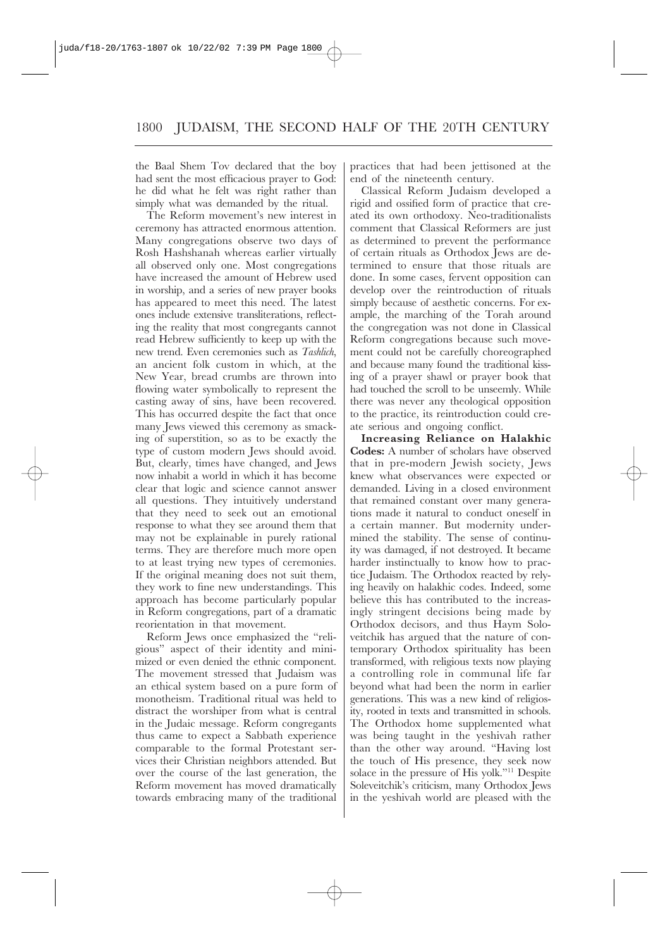the Baal Shem Tov declared that the boy had sent the most efficacious prayer to God: he did what he felt was right rather than simply what was demanded by the ritual.

The Reform movement's new interest in ceremony has attracted enormous attention. Many congregations observe two days of Rosh Hashshanah whereas earlier virtually all observed only one. Most congregations have increased the amount of Hebrew used in worship, and a series of new prayer books has appeared to meet this need. The latest ones include extensive transliterations, reflecting the reality that most congregants cannot read Hebrew sufficiently to keep up with the new trend. Even ceremonies such as *Tashlich*, an ancient folk custom in which, at the New Year, bread crumbs are thrown into flowing water symbolically to represent the casting away of sins, have been recovered. This has occurred despite the fact that once many Jews viewed this ceremony as smacking of superstition, so as to be exactly the type of custom modern Jews should avoid. But, clearly, times have changed, and Jews now inhabit a world in which it has become clear that logic and science cannot answer all questions. They intuitively understand that they need to seek out an emotional response to what they see around them that may not be explainable in purely rational terms. They are therefore much more open to at least trying new types of ceremonies. If the original meaning does not suit them, they work to fine new understandings. This approach has become particularly popular in Reform congregations, part of a dramatic reorientation in that movement.

Reform Jews once emphasized the "religious" aspect of their identity and minimized or even denied the ethnic component. The movement stressed that Judaism was an ethical system based on a pure form of monotheism. Traditional ritual was held to distract the worshiper from what is central in the Judaic message. Reform congregants thus came to expect a Sabbath experience comparable to the formal Protestant services their Christian neighbors attended. But over the course of the last generation, the Reform movement has moved dramatically towards embracing many of the traditional practices that had been jettisoned at the end of the nineteenth century.

Classical Reform Judaism developed a rigid and ossified form of practice that created its own orthodoxy. Neo-traditionalists comment that Classical Reformers are just as determined to prevent the performance of certain rituals as Orthodox Jews are determined to ensure that those rituals are done. In some cases, fervent opposition can develop over the reintroduction of rituals simply because of aesthetic concerns. For example, the marching of the Torah around the congregation was not done in Classical Reform congregations because such movement could not be carefully choreographed and because many found the traditional kissing of a prayer shawl or prayer book that had touched the scroll to be unseemly. While there was never any theological opposition to the practice, its reintroduction could create serious and ongoing conflict.

**Increasing Reliance on Halakhic Codes:** A number of scholars have observed that in pre-modern Jewish society, Jews knew what observances were expected or demanded. Living in a closed environment that remained constant over many generations made it natural to conduct oneself in a certain manner. But modernity undermined the stability. The sense of continuity was damaged, if not destroyed. It became harder instinctually to know how to practice Judaism. The Orthodox reacted by relying heavily on halakhic codes. Indeed, some believe this has contributed to the increasingly stringent decisions being made by Orthodox decisors, and thus Haym Soloveitchik has argued that the nature of contemporary Orthodox spirituality has been transformed, with religious texts now playing a controlling role in communal life far beyond what had been the norm in earlier generations. This was a new kind of religiosity, rooted in texts and transmitted in schools. The Orthodox home supplemented what was being taught in the yeshivah rather than the other way around. "Having lost the touch of His presence, they seek now solace in the pressure of His yolk."11 Despite Soleveitchik's criticism, many Orthodox Jews in the yeshivah world are pleased with the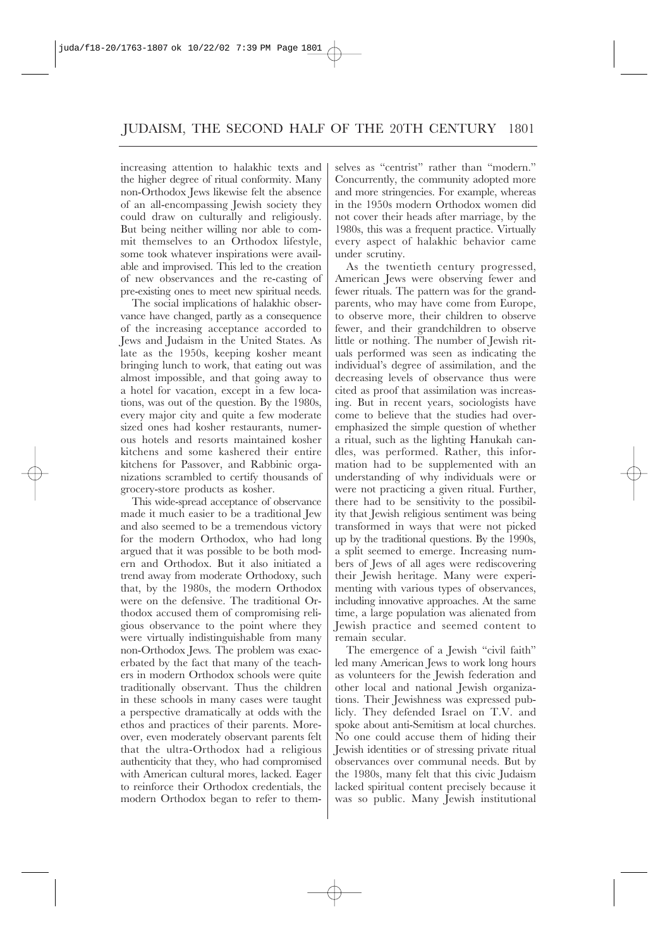increasing attention to halakhic texts and the higher degree of ritual conformity. Many non-Orthodox Jews likewise felt the absence of an all-encompassing Jewish society they could draw on culturally and religiously. But being neither willing nor able to commit themselves to an Orthodox lifestyle, some took whatever inspirations were available and improvised. This led to the creation of new observances and the re-casting of pre-existing ones to meet new spiritual needs.

The social implications of halakhic observance have changed, partly as a consequence of the increasing acceptance accorded to Jews and Judaism in the United States. As late as the 1950s, keeping kosher meant bringing lunch to work, that eating out was almost impossible, and that going away to a hotel for vacation, except in a few locations, was out of the question. By the 1980s, every major city and quite a few moderate sized ones had kosher restaurants, numerous hotels and resorts maintained kosher kitchens and some kashered their entire kitchens for Passover, and Rabbinic organizations scrambled to certify thousands of grocery-store products as kosher.

This wide-spread acceptance of observance made it much easier to be a traditional Jew and also seemed to be a tremendous victory for the modern Orthodox, who had long argued that it was possible to be both modern and Orthodox. But it also initiated a trend away from moderate Orthodoxy, such that, by the 1980s, the modern Orthodox were on the defensive. The traditional Orthodox accused them of compromising religious observance to the point where they were virtually indistinguishable from many non-Orthodox Jews. The problem was exacerbated by the fact that many of the teachers in modern Orthodox schools were quite traditionally observant. Thus the children in these schools in many cases were taught a perspective dramatically at odds with the ethos and practices of their parents. Moreover, even moderately observant parents felt that the ultra-Orthodox had a religious authenticity that they, who had compromised with American cultural mores, lacked. Eager to reinforce their Orthodox credentials, the modern Orthodox began to refer to themselves as "centrist" rather than "modern." Concurrently, the community adopted more and more stringencies. For example, whereas in the 1950s modern Orthodox women did not cover their heads after marriage, by the 1980s, this was a frequent practice. Virtually every aspect of halakhic behavior came under scrutiny.

As the twentieth century progressed, American Jews were observing fewer and fewer rituals. The pattern was for the grandparents, who may have come from Europe, to observe more, their children to observe fewer, and their grandchildren to observe little or nothing. The number of Jewish rituals performed was seen as indicating the individual's degree of assimilation, and the decreasing levels of observance thus were cited as proof that assimilation was increasing. But in recent years, sociologists have come to believe that the studies had overemphasized the simple question of whether a ritual, such as the lighting Hanukah candles, was performed. Rather, this information had to be supplemented with an understanding of why individuals were or were not practicing a given ritual. Further, there had to be sensitivity to the possibility that Jewish religious sentiment was being transformed in ways that were not picked up by the traditional questions. By the 1990s, a split seemed to emerge. Increasing numbers of Jews of all ages were rediscovering their Jewish heritage. Many were experimenting with various types of observances, including innovative approaches. At the same time, a large population was alienated from Jewish practice and seemed content to remain secular.

The emergence of a Jewish "civil faith" led many American Jews to work long hours as volunteers for the Jewish federation and other local and national Jewish organizations. Their Jewishness was expressed publicly. They defended Israel on T.V. and spoke about anti-Semitism at local churches. No one could accuse them of hiding their Jewish identities or of stressing private ritual observances over communal needs. But by the 1980s, many felt that this civic Judaism lacked spiritual content precisely because it was so public. Many Jewish institutional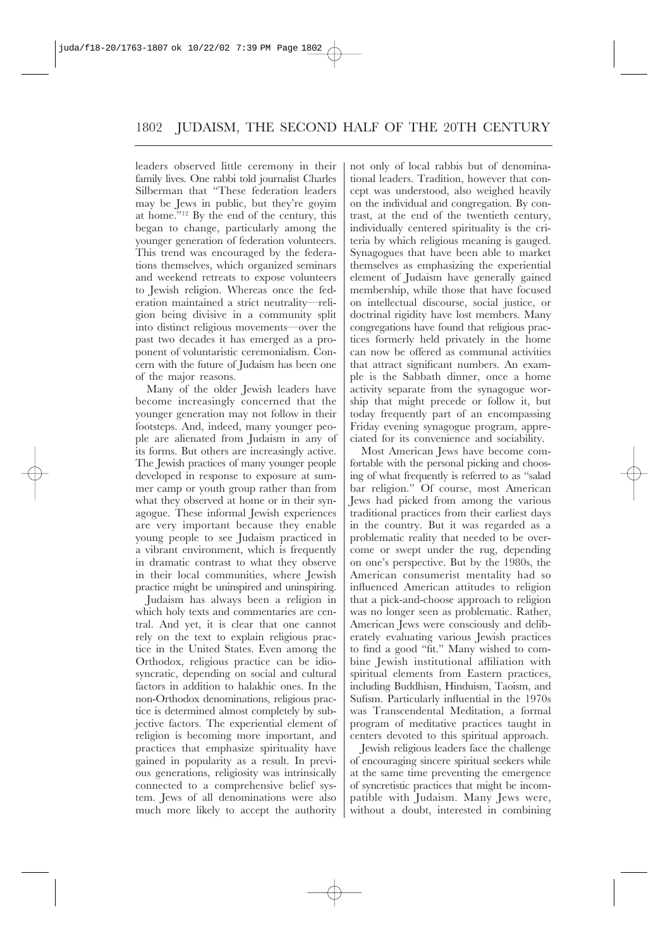leaders observed little ceremony in their family lives. One rabbi told journalist Charles Silberman that "These federation leaders may be Jews in public, but they're goyim at home."12 By the end of the century, this began to change, particularly among the younger generation of federation volunteers. This trend was encouraged by the federations themselves, which organized seminars and weekend retreats to expose volunteers to Jewish religion. Whereas once the federation maintained a strict neutrality—religion being divisive in a community split into distinct religious movements—over the past two decades it has emerged as a proponent of voluntaristic ceremonialism. Concern with the future of Judaism has been one of the major reasons.

Many of the older Jewish leaders have become increasingly concerned that the younger generation may not follow in their footsteps. And, indeed, many younger people are alienated from Judaism in any of its forms. But others are increasingly active. The Jewish practices of many younger people developed in response to exposure at summer camp or youth group rather than from what they observed at home or in their synagogue. These informal Jewish experiences are very important because they enable young people to see Judaism practiced in a vibrant environment, which is frequently in dramatic contrast to what they observe in their local communities, where Jewish practice might be uninspired and uninspiring.

Judaism has always been a religion in which holy texts and commentaries are central. And yet, it is clear that one cannot rely on the text to explain religious practice in the United States. Even among the Orthodox, religious practice can be idiosyncratic, depending on social and cultural factors in addition to halakhic ones. In the non-Orthodox denominations, religious practice is determined almost completely by subjective factors. The experiential element of religion is becoming more important, and practices that emphasize spirituality have gained in popularity as a result. In previous generations, religiosity was intrinsically connected to a comprehensive belief system. Jews of all denominations were also much more likely to accept the authority

not only of local rabbis but of denominational leaders. Tradition, however that concept was understood, also weighed heavily on the individual and congregation. By contrast, at the end of the twentieth century, individually centered spirituality is the criteria by which religious meaning is gauged. Synagogues that have been able to market themselves as emphasizing the experiential element of Judaism have generally gained membership, while those that have focused on intellectual discourse, social justice, or doctrinal rigidity have lost members. Many congregations have found that religious practices formerly held privately in the home can now be offered as communal activities that attract significant numbers. An example is the Sabbath dinner, once a home activity separate from the synagogue worship that might precede or follow it, but today frequently part of an encompassing Friday evening synagogue program, appreciated for its convenience and sociability.

Most American Jews have become comfortable with the personal picking and choosing of what frequently is referred to as "salad bar religion." Of course, most American Jews had picked from among the various traditional practices from their earliest days in the country. But it was regarded as a problematic reality that needed to be overcome or swept under the rug, depending on one's perspective. But by the 1980s, the American consumerist mentality had so influenced American attitudes to religion that a pick-and-choose approach to religion was no longer seen as problematic. Rather, American Jews were consciously and deliberately evaluating various Jewish practices to find a good "fit." Many wished to combine Jewish institutional affiliation with spiritual elements from Eastern practices, including Buddhism, Hinduism, Taoism, and Sufism. Particularly influential in the 1970s was Transcendental Meditation, a formal program of meditative practices taught in centers devoted to this spiritual approach.

Jewish religious leaders face the challenge of encouraging sincere spiritual seekers while at the same time preventing the emergence of syncretistic practices that might be incompatible with Judaism. Many Jews were, without a doubt, interested in combining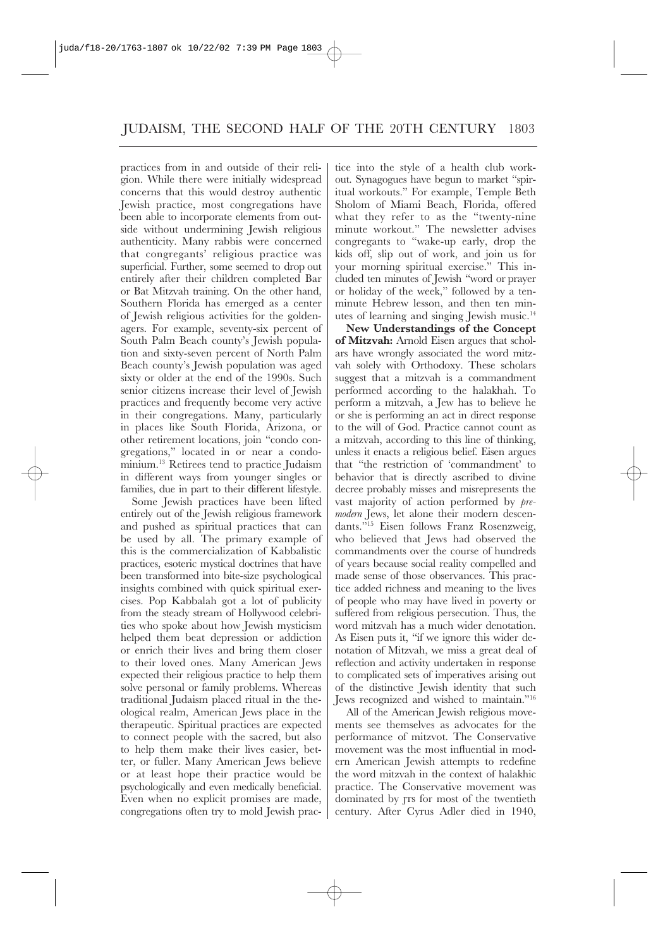practices from in and outside of their religion. While there were initially widespread concerns that this would destroy authentic Jewish practice, most congregations have been able to incorporate elements from outside without undermining Jewish religious authenticity. Many rabbis were concerned that congregants' religious practice was superficial. Further, some seemed to drop out entirely after their children completed Bar or Bat Mitzvah training. On the other hand, Southern Florida has emerged as a center of Jewish religious activities for the goldenagers. For example, seventy-six percent of South Palm Beach county's Jewish population and sixty-seven percent of North Palm Beach county's Jewish population was aged sixty or older at the end of the 1990s. Such senior citizens increase their level of Jewish practices and frequently become very active in their congregations. Many, particularly in places like South Florida, Arizona, or other retirement locations, join "condo congregations," located in or near a condominium.<sup>13</sup> Retirees tend to practice Judaism in different ways from younger singles or families, due in part to their different lifestyle.

Some Jewish practices have been lifted entirely out of the Jewish religious framework and pushed as spiritual practices that can be used by all. The primary example of this is the commercialization of Kabbalistic practices, esoteric mystical doctrines that have been transformed into bite-size psychological insights combined with quick spiritual exercises. Pop Kabbalah got a lot of publicity from the steady stream of Hollywood celebrities who spoke about how Jewish mysticism helped them beat depression or addiction or enrich their lives and bring them closer to their loved ones. Many American Jews expected their religious practice to help them solve personal or family problems. Whereas traditional Judaism placed ritual in the theological realm, American Jews place in the therapeutic. Spiritual practices are expected to connect people with the sacred, but also to help them make their lives easier, better, or fuller. Many American Jews believe or at least hope their practice would be psychologically and even medically beneficial. Even when no explicit promises are made, congregations often try to mold Jewish practice into the style of a health club workout. Synagogues have begun to market "spiritual workouts." For example, Temple Beth Sholom of Miami Beach, Florida, offered what they refer to as the "twenty-nine minute workout." The newsletter advises congregants to "wake-up early, drop the kids off, slip out of work, and join us for your morning spiritual exercise." This included ten minutes of Jewish "word or prayer or holiday of the week," followed by a tenminute Hebrew lesson, and then ten minutes of learning and singing Jewish music.<sup>14</sup>

**New Understandings of the Concept of Mitzvah:** Arnold Eisen argues that scholars have wrongly associated the word mitzvah solely with Orthodoxy. These scholars suggest that a mitzvah is a commandment performed according to the halakhah. To perform a mitzvah, a Jew has to believe he or she is performing an act in direct response to the will of God. Practice cannot count as a mitzvah, according to this line of thinking, unless it enacts a religious belief. Eisen argues that "the restriction of 'commandment' to behavior that is directly ascribed to divine decree probably misses and misrepresents the vast majority of action performed by *premodern* Jews, let alone their modern descendants."15 Eisen follows Franz Rosenzweig, who believed that Jews had observed the commandments over the course of hundreds of years because social reality compelled and made sense of those observances. This practice added richness and meaning to the lives of people who may have lived in poverty or suffered from religious persecution. Thus, the word mitzvah has a much wider denotation. As Eisen puts it, "if we ignore this wider denotation of Mitzvah, we miss a great deal of reflection and activity undertaken in response to complicated sets of imperatives arising out of the distinctive Jewish identity that such Jews recognized and wished to maintain."16

All of the American Jewish religious movements see themselves as advocates for the performance of mitzvot. The Conservative movement was the most influential in modern American Jewish attempts to redefine the word mitzvah in the context of halakhic practice. The Conservative movement was dominated by  $\text{Trs}$  for most of the twentieth century. After Cyrus Adler died in 1940,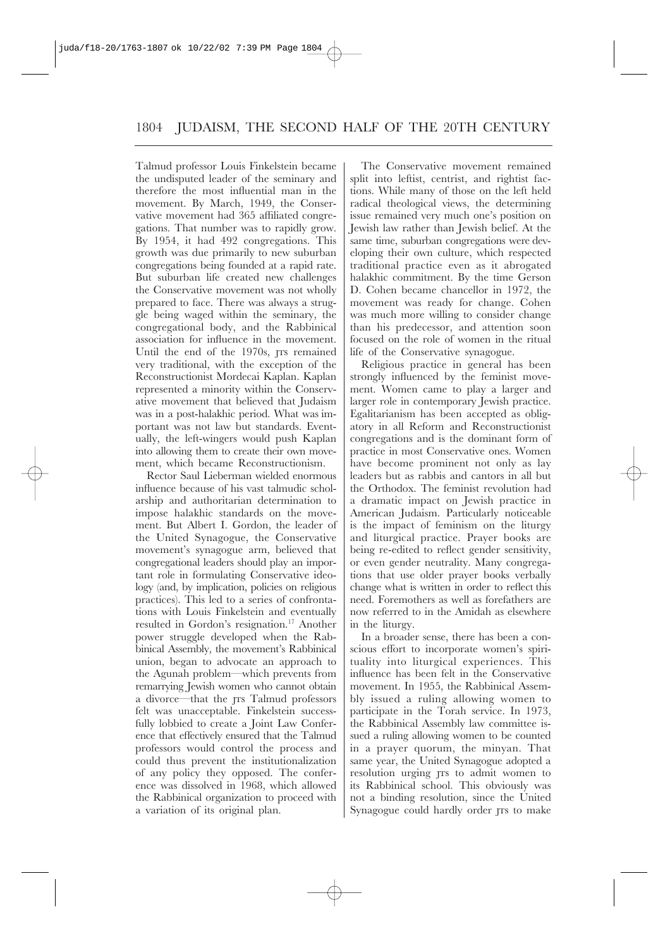Talmud professor Louis Finkelstein became the undisputed leader of the seminary and therefore the most influential man in the movement. By March, 1949, the Conservative movement had 365 affiliated congregations. That number was to rapidly grow. By 1954, it had 492 congregations. This growth was due primarily to new suburban congregations being founded at a rapid rate. But suburban life created new challenges the Conservative movement was not wholly prepared to face. There was always a struggle being waged within the seminary, the congregational body, and the Rabbinical association for influence in the movement. Until the end of the 1970s, TTS remained very traditional, with the exception of the Reconstructionist Mordecai Kaplan. Kaplan represented a minority within the Conservative movement that believed that Judaism was in a post-halakhic period. What was important was not law but standards. Eventually, the left-wingers would push Kaplan into allowing them to create their own movement, which became Reconstructionism.

Rector Saul Lieberman wielded enormous influence because of his vast talmudic scholarship and authoritarian determination to impose halakhic standards on the movement. But Albert I. Gordon, the leader of the United Synagogue, the Conservative movement's synagogue arm, believed that congregational leaders should play an important role in formulating Conservative ideology (and, by implication, policies on religious practices). This led to a series of confrontations with Louis Finkelstein and eventually resulted in Gordon's resignation.17 Another power struggle developed when the Rabbinical Assembly, the movement's Rabbinical union, began to advocate an approach to the Agunah problem—which prevents from remarrying Jewish women who cannot obtain a divorce—that the Talmud professors felt was unacceptable. Finkelstein successfully lobbied to create a Joint Law Conference that effectively ensured that the Talmud professors would control the process and could thus prevent the institutionalization of any policy they opposed. The conference was dissolved in 1968, which allowed the Rabbinical organization to proceed with a variation of its original plan.

The Conservative movement remained split into leftist, centrist, and rightist factions. While many of those on the left held radical theological views, the determining issue remained very much one's position on Jewish law rather than Jewish belief. At the same time, suburban congregations were developing their own culture, which respected traditional practice even as it abrogated halakhic commitment. By the time Gerson D. Cohen became chancellor in 1972, the movement was ready for change. Cohen was much more willing to consider change than his predecessor, and attention soon focused on the role of women in the ritual life of the Conservative synagogue.

Religious practice in general has been strongly influenced by the feminist movement. Women came to play a larger and larger role in contemporary Jewish practice. Egalitarianism has been accepted as obligatory in all Reform and Reconstructionist congregations and is the dominant form of practice in most Conservative ones. Women have become prominent not only as lay leaders but as rabbis and cantors in all but the Orthodox. The feminist revolution had a dramatic impact on Jewish practice in American Judaism. Particularly noticeable is the impact of feminism on the liturgy and liturgical practice. Prayer books are being re-edited to reflect gender sensitivity, or even gender neutrality. Many congregations that use older prayer books verbally change what is written in order to reflect this need. Foremothers as well as forefathers are now referred to in the Amidah as elsewhere in the liturgy.

In a broader sense, there has been a conscious effort to incorporate women's spirituality into liturgical experiences. This influence has been felt in the Conservative movement. In 1955, the Rabbinical Assembly issued a ruling allowing women to participate in the Torah service. In 1973, the Rabbinical Assembly law committee issued a ruling allowing women to be counted in a prayer quorum, the minyan. That same year, the United Synagogue adopted a resolution urging  $\text{Trs}$  to admit women to its Rabbinical school. This obviously was not a binding resolution, since the United Synagogue could hardly order  $\eta$  to make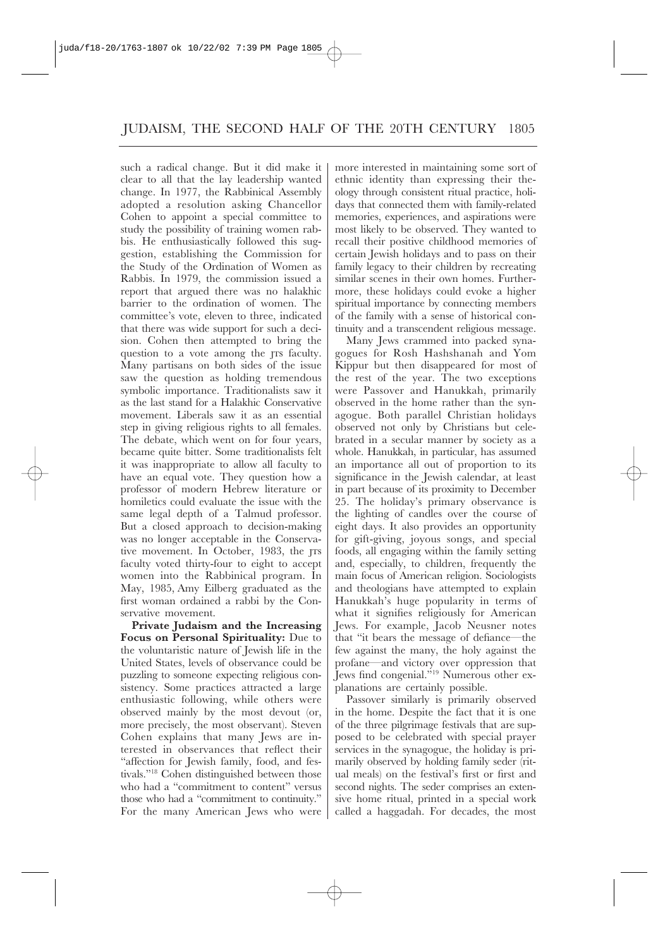such a radical change. But it did make it clear to all that the lay leadership wanted change. In 1977, the Rabbinical Assembly adopted a resolution asking Chancellor Cohen to appoint a special committee to study the possibility of training women rabbis. He enthusiastically followed this suggestion, establishing the Commission for the Study of the Ordination of Women as Rabbis. In 1979, the commission issued a report that argued there was no halakhic barrier to the ordination of women. The committee's vote, eleven to three, indicated that there was wide support for such a decision. Cohen then attempted to bring the question to a vote among the  $\eta$ rs faculty. Many partisans on both sides of the issue saw the question as holding tremendous symbolic importance. Traditionalists saw it as the last stand for a Halakhic Conservative movement. Liberals saw it as an essential step in giving religious rights to all females. The debate, which went on for four years, became quite bitter. Some traditionalists felt it was inappropriate to allow all faculty to have an equal vote. They question how a professor of modern Hebrew literature or homiletics could evaluate the issue with the same legal depth of a Talmud professor. But a closed approach to decision-making was no longer acceptable in the Conservative movement. In October, 1983, the faculty voted thirty-four to eight to accept women into the Rabbinical program. In May, 1985, Amy Eilberg graduated as the first woman ordained a rabbi by the Conservative movement.

**Private Judaism and the Increasing Focus on Personal Spirituality:** Due to the voluntaristic nature of Jewish life in the United States, levels of observance could be puzzling to someone expecting religious consistency. Some practices attracted a large enthusiastic following, while others were observed mainly by the most devout (or, more precisely, the most observant). Steven Cohen explains that many Jews are interested in observances that reflect their "affection for Jewish family, food, and festivals."18 Cohen distinguished between those who had a "commitment to content" versus those who had a "commitment to continuity." For the many American Jews who were more interested in maintaining some sort of ethnic identity than expressing their theology through consistent ritual practice, holidays that connected them with family-related memories, experiences, and aspirations were most likely to be observed. They wanted to recall their positive childhood memories of certain Jewish holidays and to pass on their family legacy to their children by recreating similar scenes in their own homes. Furthermore, these holidays could evoke a higher spiritual importance by connecting members of the family with a sense of historical continuity and a transcendent religious message.

Many Jews crammed into packed synagogues for Rosh Hashshanah and Yom Kippur but then disappeared for most of the rest of the year. The two exceptions were Passover and Hanukkah, primarily observed in the home rather than the synagogue. Both parallel Christian holidays observed not only by Christians but celebrated in a secular manner by society as a whole. Hanukkah, in particular, has assumed an importance all out of proportion to its significance in the Jewish calendar, at least in part because of its proximity to December 25. The holiday's primary observance is the lighting of candles over the course of eight days. It also provides an opportunity for gift-giving, joyous songs, and special foods, all engaging within the family setting and, especially, to children, frequently the main focus of American religion. Sociologists and theologians have attempted to explain Hanukkah's huge popularity in terms of what it signifies religiously for American Jews. For example, Jacob Neusner notes that "it bears the message of defiance—the few against the many, the holy against the profane—and victory over oppression that Jews find congenial."19 Numerous other explanations are certainly possible.

Passover similarly is primarily observed in the home. Despite the fact that it is one of the three pilgrimage festivals that are supposed to be celebrated with special prayer services in the synagogue, the holiday is primarily observed by holding family seder (ritual meals) on the festival's first or first and second nights. The seder comprises an extensive home ritual, printed in a special work called a haggadah. For decades, the most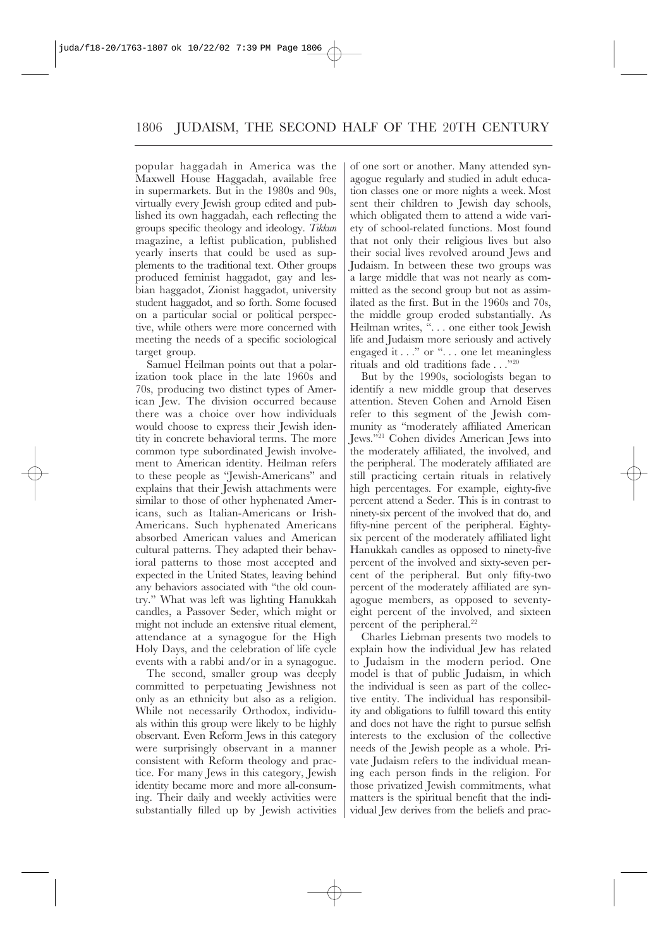popular haggadah in America was the Maxwell House Haggadah, available free in supermarkets. But in the 1980s and 90s, virtually every Jewish group edited and published its own haggadah, each reflecting the groups specific theology and ideology. *Tikkun* magazine, a leftist publication, published yearly inserts that could be used as supplements to the traditional text. Other groups produced feminist haggadot, gay and lesbian haggadot, Zionist haggadot, university student haggadot, and so forth. Some focused on a particular social or political perspective, while others were more concerned with meeting the needs of a specific sociological target group.

Samuel Heilman points out that a polarization took place in the late 1960s and 70s, producing two distinct types of American Jew. The division occurred because there was a choice over how individuals would choose to express their Jewish identity in concrete behavioral terms. The more common type subordinated Jewish involvement to American identity. Heilman refers to these people as "Jewish-Americans" and explains that their Jewish attachments were similar to those of other hyphenated Americans, such as Italian-Americans or Irish-Americans. Such hyphenated Americans absorbed American values and American cultural patterns. They adapted their behavioral patterns to those most accepted and expected in the United States, leaving behind any behaviors associated with "the old country." What was left was lighting Hanukkah candles, a Passover Seder, which might or might not include an extensive ritual element, attendance at a synagogue for the High Holy Days, and the celebration of life cycle events with a rabbi and/or in a synagogue.

The second, smaller group was deeply committed to perpetuating Jewishness not only as an ethnicity but also as a religion. While not necessarily Orthodox, individuals within this group were likely to be highly observant. Even Reform Jews in this category were surprisingly observant in a manner consistent with Reform theology and practice. For many Jews in this category, Jewish identity became more and more all-consuming. Their daily and weekly activities were substantially filled up by Jewish activities

of one sort or another. Many attended synagogue regularly and studied in adult education classes one or more nights a week. Most sent their children to Jewish day schools, which obligated them to attend a wide variety of school-related functions. Most found that not only their religious lives but also their social lives revolved around Jews and Judaism. In between these two groups was a large middle that was not nearly as committed as the second group but not as assimilated as the first. But in the 1960s and 70s, the middle group eroded substantially. As Heilman writes, "... one either took Jewish life and Judaism more seriously and actively engaged it . . ." or ". . . one let meaningless rituals and old traditions fade . . ."20

But by the 1990s, sociologists began to identify a new middle group that deserves attention. Steven Cohen and Arnold Eisen refer to this segment of the Jewish community as "moderately affiliated American Jews."21 Cohen divides American Jews into the moderately affiliated, the involved, and the peripheral. The moderately affiliated are still practicing certain rituals in relatively high percentages. For example, eighty-five percent attend a Seder. This is in contrast to ninety-six percent of the involved that do, and fifty-nine percent of the peripheral. Eightysix percent of the moderately affiliated light Hanukkah candles as opposed to ninety-five percent of the involved and sixty-seven percent of the peripheral. But only fifty-two percent of the moderately affiliated are synagogue members, as opposed to seventyeight percent of the involved, and sixteen percent of the peripheral.<sup>22</sup>

Charles Liebman presents two models to explain how the individual Jew has related to Judaism in the modern period. One model is that of public Judaism, in which the individual is seen as part of the collective entity. The individual has responsibility and obligations to fulfill toward this entity and does not have the right to pursue selfish interests to the exclusion of the collective needs of the Jewish people as a whole. Private Judaism refers to the individual meaning each person finds in the religion. For those privatized Jewish commitments, what matters is the spiritual benefit that the individual Jew derives from the beliefs and prac-